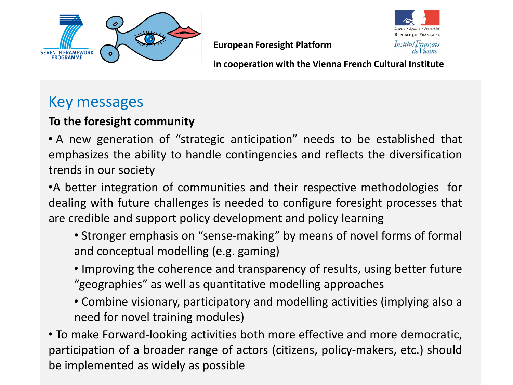



**European Foresight Platform**

**in cooperation with the Vienna French Cultural Institute**

## Key messages

#### **To the foresight community**

• A new generation of "strategic anticipation" needs to be established that emphasizes the ability to handle contingencies and reflects the diversification trends in our society

•A better integration of communities and their respective methodologies for dealing with future challenges is needed to configure foresight processes that are credible and support policy development and policy learning

- Stronger emphasis on "sense-making" by means of novel forms of formal and conceptual modelling (e.g. gaming)
- Improving the coherence and transparency of results, using better future "geographies" as well as quantitative modelling approaches
- Combine visionary, participatory and modelling activities (implying also a need for novel training modules)

• To make Forward-looking activities both more effective and more democratic, participation of a broader range of actors (citizens, policy-makers, etc.) should be implemented as widely as possible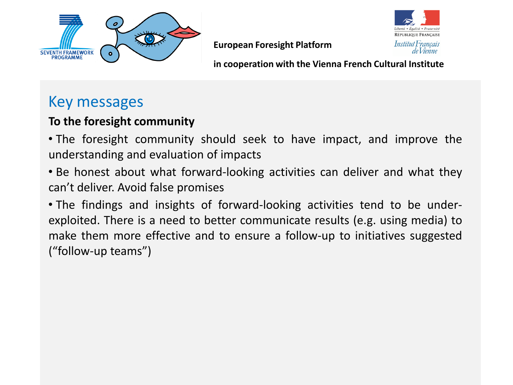



**European Foresight Platform**

**in cooperation with the Vienna French Cultural Institute**

## Key messages

#### **To the foresight community**

• The foresight community should seek to have impact, and improve the understanding and evaluation of impacts

• Be honest about what forward-looking activities can deliver and what they can't deliver. Avoid false promises

• The findings and insights of forward-looking activities tend to be underexploited. There is a need to better communicate results (e.g. using media) to make them more effective and to ensure a follow-up to initiatives suggested ("follow-up teams")